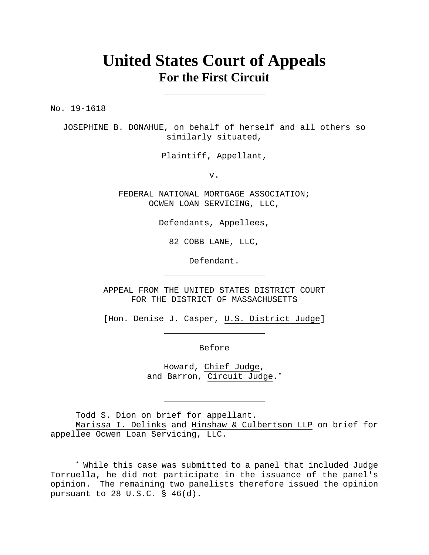## **United States Court of Appeals For the First Circuit**

No. 19-1618

JOSEPHINE B. DONAHUE, on behalf of herself and all others so similarly situated,

Plaintiff, Appellant,

v.

FEDERAL NATIONAL MORTGAGE ASSOCIATION; OCWEN LOAN SERVICING, LLC,

Defendants, Appellees,

82 COBB LANE, LLC,

Defendant.

APPEAL FROM THE UNITED STATES DISTRICT COURT FOR THE DISTRICT OF MASSACHUSETTS

[Hon. Denise J. Casper, U.S. District Judge]

Before

Howard, Chief Judge, and Barron, Circuit Judge.\*

Todd S. Dion on brief for appellant.

 Marissa I. Delinks and Hinshaw & Culbertson LLP on brief for appellee Ocwen Loan Servicing, LLC.

<sup>\*</sup> While this case was submitted to a panel that included Judge Torruella, he did not participate in the issuance of the panel's opinion. The remaining two panelists therefore issued the opinion pursuant to 28 U.S.C. § 46(d).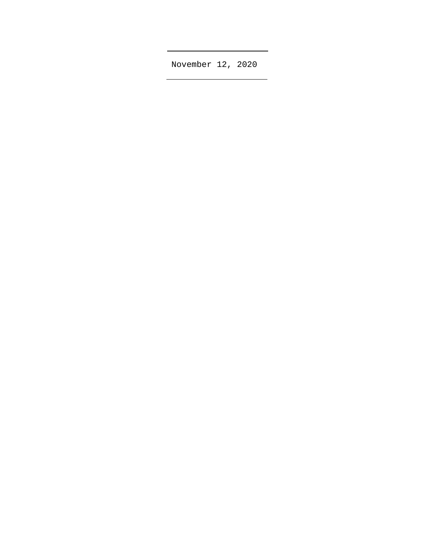November 12, 2020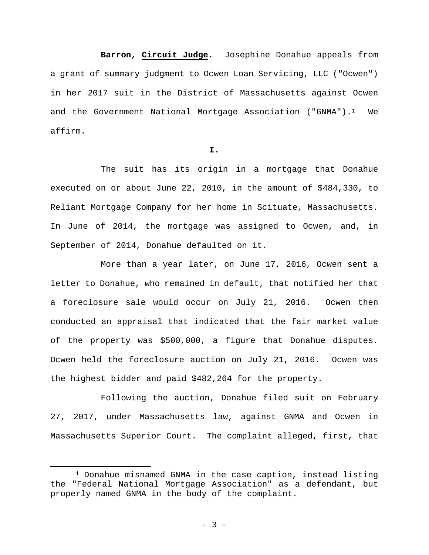**Barron, Circuit Judge.** Josephine Donahue appeals from a grant of summary judgment to Ocwen Loan Servicing, LLC ("Ocwen") in her 2017 suit in the District of Massachusetts against Ocwen and the Government National Mortgage Association ("GNMA"). $1$  We affirm.

## **I.**

 The suit has its origin in a mortgage that Donahue executed on or about June 22, 2010, in the amount of \$484,330, to Reliant Mortgage Company for her home in Scituate, Massachusetts. In June of 2014, the mortgage was assigned to Ocwen, and, in September of 2014, Donahue defaulted on it.

 More than a year later, on June 17, 2016, Ocwen sent a letter to Donahue, who remained in default, that notified her that a foreclosure sale would occur on July 21, 2016. Ocwen then conducted an appraisal that indicated that the fair market value of the property was \$500,000, a figure that Donahue disputes. Ocwen held the foreclosure auction on July 21, 2016. Ocwen was the highest bidder and paid \$482,264 for the property.

 Following the auction, Donahue filed suit on February 27, 2017, under Massachusetts law, against GNMA and Ocwen in Massachusetts Superior Court. The complaint alleged, first, that

<sup>1</sup> Donahue misnamed GNMA in the case caption, instead listing the "Federal National Mortgage Association" as a defendant, but properly named GNMA in the body of the complaint.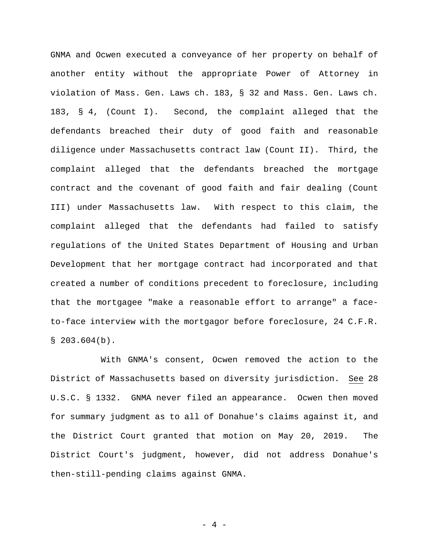GNMA and Ocwen executed a conveyance of her property on behalf of another entity without the appropriate Power of Attorney in violation of Mass. Gen. Laws ch. 183, § 32 and Mass. Gen. Laws ch. 183, § 4, (Count I). Second, the complaint alleged that the defendants breached their duty of good faith and reasonable diligence under Massachusetts contract law (Count II). Third, the complaint alleged that the defendants breached the mortgage contract and the covenant of good faith and fair dealing (Count III) under Massachusetts law. With respect to this claim, the complaint alleged that the defendants had failed to satisfy regulations of the United States Department of Housing and Urban Development that her mortgage contract had incorporated and that created a number of conditions precedent to foreclosure, including that the mortgagee "make a reasonable effort to arrange" a faceto-face interview with the mortgagor before foreclosure, 24 C.F.R.  $$203.604(b).$ 

 With GNMA's consent, Ocwen removed the action to the District of Massachusetts based on diversity jurisdiction. See 28 U.S.C. § 1332. GNMA never filed an appearance. Ocwen then moved for summary judgment as to all of Donahue's claims against it, and the District Court granted that motion on May 20, 2019. The District Court's judgment, however, did not address Donahue's then-still-pending claims against GNMA.

- 4 -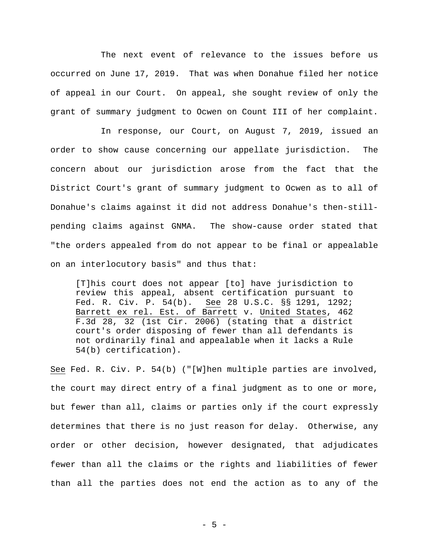The next event of relevance to the issues before us occurred on June 17, 2019. That was when Donahue filed her notice of appeal in our Court. On appeal, she sought review of only the grant of summary judgment to Ocwen on Count III of her complaint.

 In response, our Court, on August 7, 2019, issued an order to show cause concerning our appellate jurisdiction. The concern about our jurisdiction arose from the fact that the District Court's grant of summary judgment to Ocwen as to all of Donahue's claims against it did not address Donahue's then-stillpending claims against GNMA. The show-cause order stated that "the orders appealed from do not appear to be final or appealable on an interlocutory basis" and thus that:

[T]his court does not appear [to] have jurisdiction to review this appeal, absent certification pursuant to Fed. R. Civ. P. 54(b). See 28 U.S.C. §§ 1291, 1292; Barrett ex rel. Est. of Barrett v. United States, 462 F.3d 28, 32 (1st Cir. 2006) (stating that a district court's order disposing of fewer than all defendants is not ordinarily final and appealable when it lacks a Rule 54(b) certification).

See Fed. R. Civ. P. 54(b) ("[W]hen multiple parties are involved, the court may direct entry of a final judgment as to one or more, but fewer than all, claims or parties only if the court expressly determines that there is no just reason for delay. Otherwise, any order or other decision, however designated, that adjudicates fewer than all the claims or the rights and liabilities of fewer than all the parties does not end the action as to any of the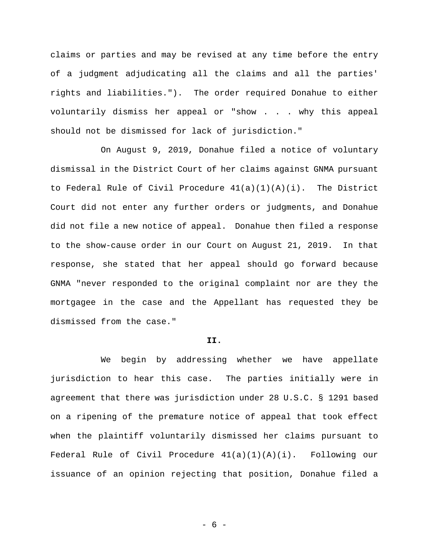claims or parties and may be revised at any time before the entry of a judgment adjudicating all the claims and all the parties' rights and liabilities."). The order required Donahue to either voluntarily dismiss her appeal or "show . . . why this appeal should not be dismissed for lack of jurisdiction."

 On August 9, 2019, Donahue filed a notice of voluntary dismissal in the District Court of her claims against GNMA pursuant to Federal Rule of Civil Procedure  $41(a)(1)(A)(i)$ . The District Court did not enter any further orders or judgments, and Donahue did not file a new notice of appeal. Donahue then filed a response to the show-cause order in our Court on August 21, 2019. In that response, she stated that her appeal should go forward because GNMA "never responded to the original complaint nor are they the mortgagee in the case and the Appellant has requested they be dismissed from the case."

## **II.**

 We begin by addressing whether we have appellate jurisdiction to hear this case. The parties initially were in agreement that there was jurisdiction under 28 U.S.C. § 1291 based on a ripening of the premature notice of appeal that took effect when the plaintiff voluntarily dismissed her claims pursuant to Federal Rule of Civil Procedure  $41(a)(1)(A)(i)$ . Following our issuance of an opinion rejecting that position, Donahue filed a

- 6 -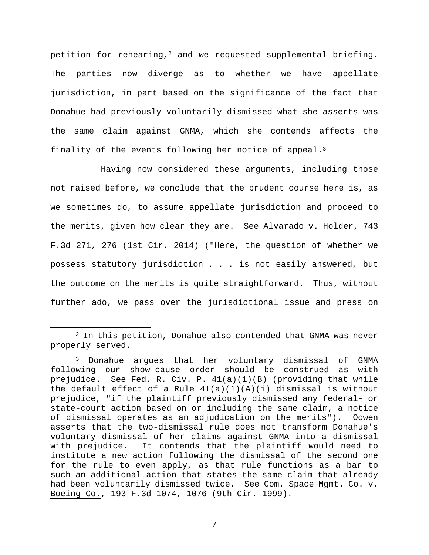petition for rehearing,<sup>2</sup> and we requested supplemental briefing. The parties now diverge as to whether we have appellate jurisdiction, in part based on the significance of the fact that Donahue had previously voluntarily dismissed what she asserts was the same claim against GNMA, which she contends affects the finality of the events following her notice of appeal.3

Having now considered these arguments, including those not raised before, we conclude that the prudent course here is, as we sometimes do, to assume appellate jurisdiction and proceed to the merits, given how clear they are. See Alvarado v. Holder, 743 F.3d 271, 276 (1st Cir. 2014) ("Here, the question of whether we possess statutory jurisdiction . . . is not easily answered, but the outcome on the merits is quite straightforward. Thus, without further ado, we pass over the jurisdictional issue and press on

<sup>2</sup> In this petition, Donahue also contended that GNMA was never properly served.

<sup>3</sup> Donahue argues that her voluntary dismissal of GNMA following our show-cause order should be construed as with prejudice. See Fed. R. Civ. P. 41(a)(1)(B) (providing that while the default effect of a Rule  $41(a)(1)(A)(i)$  dismissal is without prejudice, "if the plaintiff previously dismissed any federal- or state-court action based on or including the same claim, a notice of dismissal operates as an adjudication on the merits"). Ocwen asserts that the two-dismissal rule does not transform Donahue's voluntary dismissal of her claims against GNMA into a dismissal with prejudice. It contends that the plaintiff would need to institute a new action following the dismissal of the second one for the rule to even apply, as that rule functions as a bar to such an additional action that states the same claim that already had been voluntarily dismissed twice. See Com. Space Mgmt. Co. v. Boeing Co., 193 F.3d 1074, 1076 (9th Cir. 1999).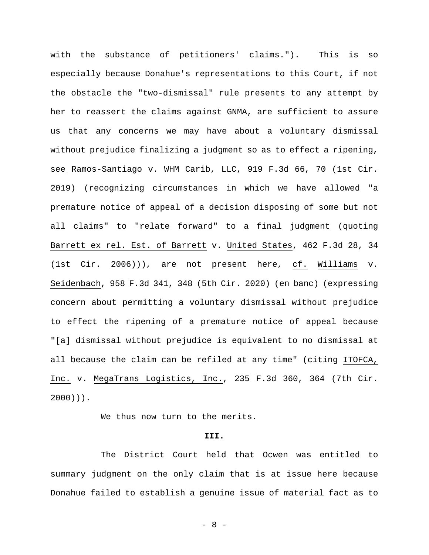with the substance of petitioners' claims."). This is so especially because Donahue's representations to this Court, if not the obstacle the "two-dismissal" rule presents to any attempt by her to reassert the claims against GNMA, are sufficient to assure us that any concerns we may have about a voluntary dismissal without prejudice finalizing a judgment so as to effect a ripening, see Ramos-Santiago v. WHM Carib, LLC, 919 F.3d 66, 70 (1st Cir. 2019) (recognizing circumstances in which we have allowed "a premature notice of appeal of a decision disposing of some but not all claims" to "relate forward" to a final judgment (quoting Barrett ex rel. Est. of Barrett v. United States, 462 F.3d 28, 34 (1st Cir. 2006))), are not present here, cf. Williams v. Seidenbach, 958 F.3d 341, 348 (5th Cir. 2020) (en banc) (expressing concern about permitting a voluntary dismissal without prejudice to effect the ripening of a premature notice of appeal because "[a] dismissal without prejudice is equivalent to no dismissal at all because the claim can be refiled at any time" (citing ITOFCA, Inc. v. MegaTrans Logistics, Inc., 235 F.3d 360, 364 (7th Cir. 2000))).

We thus now turn to the merits.

## **III.**

 The District Court held that Ocwen was entitled to summary judgment on the only claim that is at issue here because Donahue failed to establish a genuine issue of material fact as to

- 8 -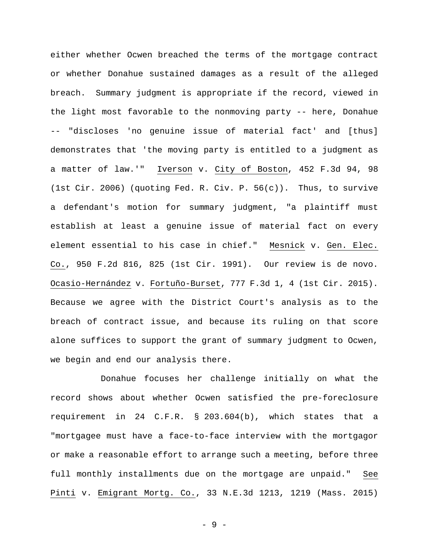either whether Ocwen breached the terms of the mortgage contract or whether Donahue sustained damages as a result of the alleged breach. Summary judgment is appropriate if the record, viewed in the light most favorable to the nonmoving party -- here, Donahue -- "discloses 'no genuine issue of material fact' and [thus] demonstrates that 'the moving party is entitled to a judgment as a matter of law.'" Iverson v. City of Boston, 452 F.3d 94, 98 (1st Cir. 2006) (quoting Fed. R. Civ. P. 56(c)). Thus, to survive a defendant's motion for summary judgment, "a plaintiff must establish at least a genuine issue of material fact on every element essential to his case in chief." Mesnick v. Gen. Elec. Co., 950 F.2d 816, 825 (1st Cir. 1991). Our review is de novo. Ocasio-Hernández v. Fortuño-Burset, 777 F.3d 1, 4 (1st Cir. 2015). Because we agree with the District Court's analysis as to the breach of contract issue, and because its ruling on that score alone suffices to support the grant of summary judgment to Ocwen, we begin and end our analysis there.

 Donahue focuses her challenge initially on what the record shows about whether Ocwen satisfied the pre-foreclosure requirement in 24 C.F.R. § 203.604(b), which states that a "mortgagee must have a face-to-face interview with the mortgagor or make a reasonable effort to arrange such a meeting, before three full monthly installments due on the mortgage are unpaid." See Pinti v. Emigrant Mortg. Co., 33 N.E.3d 1213, 1219 (Mass. 2015)

- 9 -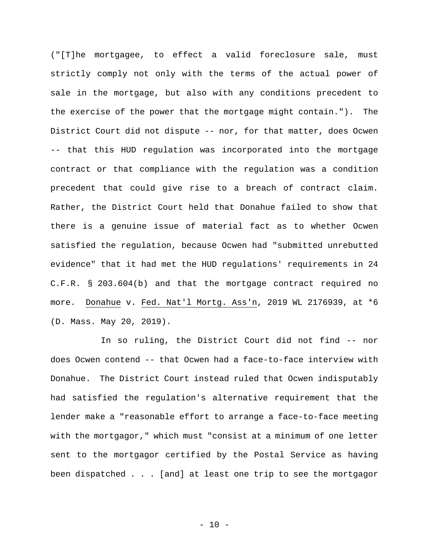("[T]he mortgagee, to effect a valid foreclosure sale, must strictly comply not only with the terms of the actual power of sale in the mortgage, but also with any conditions precedent to the exercise of the power that the mortgage might contain."). The District Court did not dispute -- nor, for that matter, does Ocwen -- that this HUD regulation was incorporated into the mortgage contract or that compliance with the regulation was a condition precedent that could give rise to a breach of contract claim. Rather, the District Court held that Donahue failed to show that there is a genuine issue of material fact as to whether Ocwen satisfied the regulation, because Ocwen had "submitted unrebutted evidence" that it had met the HUD regulations' requirements in 24 C.F.R. § 203.604(b) and that the mortgage contract required no more. Donahue v. Fed. Nat'l Mortg. Ass'n, 2019 WL 2176939, at \*6 (D. Mass. May 20, 2019).

 In so ruling, the District Court did not find -- nor does Ocwen contend -- that Ocwen had a face-to-face interview with Donahue. The District Court instead ruled that Ocwen indisputably had satisfied the regulation's alternative requirement that the lender make a "reasonable effort to arrange a face-to-face meeting with the mortgagor," which must "consist at a minimum of one letter sent to the mortgagor certified by the Postal Service as having been dispatched . . . [and] at least one trip to see the mortgagor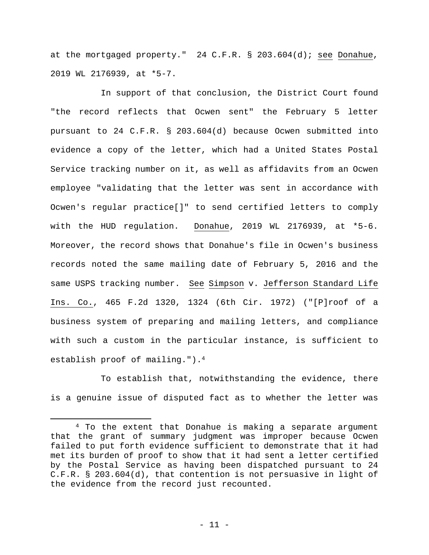at the mortgaged property." 24 C.F.R. § 203.604(d); see Donahue, 2019 WL 2176939, at \*5-7.

 In support of that conclusion, the District Court found "the record reflects that Ocwen sent" the February 5 letter pursuant to 24 C.F.R. § 203.604(d) because Ocwen submitted into evidence a copy of the letter, which had a United States Postal Service tracking number on it, as well as affidavits from an Ocwen employee "validating that the letter was sent in accordance with Ocwen's regular practice[]" to send certified letters to comply with the HUD regulation. Donahue, 2019 WL 2176939, at \*5-6. Moreover, the record shows that Donahue's file in Ocwen's business records noted the same mailing date of February 5, 2016 and the same USPS tracking number. See Simpson v. Jefferson Standard Life Ins. Co., 465 F.2d 1320, 1324 (6th Cir. 1972) ("[P]roof of a business system of preparing and mailing letters, and compliance with such a custom in the particular instance, is sufficient to establish proof of mailing.").4

 To establish that, notwithstanding the evidence, there is a genuine issue of disputed fact as to whether the letter was

<sup>4</sup> To the extent that Donahue is making a separate argument that the grant of summary judgment was improper because Ocwen failed to put forth evidence sufficient to demonstrate that it had met its burden of proof to show that it had sent a letter certified by the Postal Service as having been dispatched pursuant to 24 C.F.R. § 203.604(d), that contention is not persuasive in light of the evidence from the record just recounted.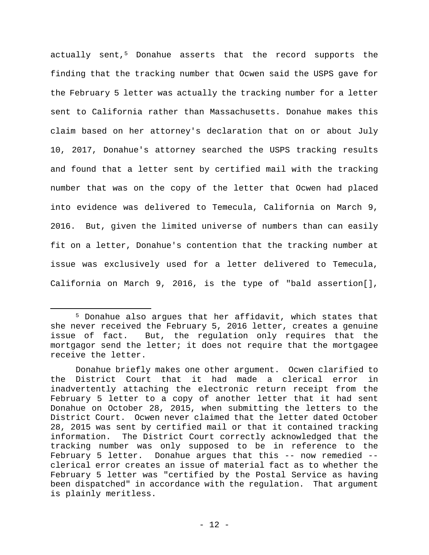actually sent,<sup>5</sup> Donahue asserts that the record supports the finding that the tracking number that Ocwen said the USPS gave for the February 5 letter was actually the tracking number for a letter sent to California rather than Massachusetts. Donahue makes this claim based on her attorney's declaration that on or about July 10, 2017, Donahue's attorney searched the USPS tracking results and found that a letter sent by certified mail with the tracking number that was on the copy of the letter that Ocwen had placed into evidence was delivered to Temecula, California on March 9, 2016. But, given the limited universe of numbers than can easily fit on a letter, Donahue's contention that the tracking number at issue was exclusively used for a letter delivered to Temecula, California on March 9, 2016, is the type of "bald assertion[],

<sup>5</sup> Donahue also argues that her affidavit, which states that she never received the February 5, 2016 letter, creates a genuine issue of fact. But, the regulation only requires that the mortgagor send the letter; it does not require that the mortgagee receive the letter.

Donahue briefly makes one other argument. Ocwen clarified to the District Court that it had made a clerical error in inadvertently attaching the electronic return receipt from the February 5 letter to a copy of another letter that it had sent Donahue on October 28, 2015, when submitting the letters to the District Court. Ocwen never claimed that the letter dated October 28, 2015 was sent by certified mail or that it contained tracking information. The District Court correctly acknowledged that the tracking number was only supposed to be in reference to the February 5 letter. Donahue argues that this -- now remedied - clerical error creates an issue of material fact as to whether the February 5 letter was "certified by the Postal Service as having been dispatched" in accordance with the regulation. That argument is plainly meritless.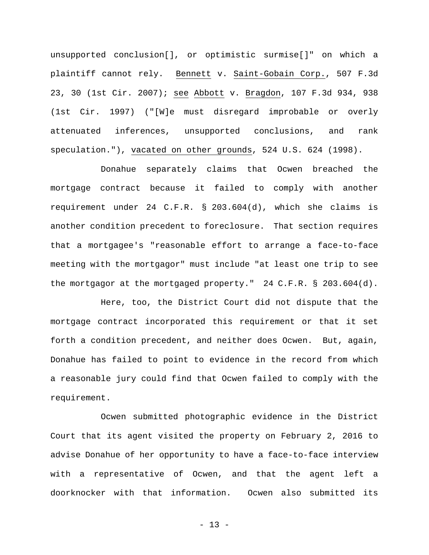unsupported conclusion[], or optimistic surmise[]" on which a plaintiff cannot rely. Bennett v. Saint-Gobain Corp., 507 F.3d 23, 30 (1st Cir. 2007); see Abbott v. Bragdon, 107 F.3d 934, 938 (1st Cir. 1997) ("[W]e must disregard improbable or overly attenuated inferences, unsupported conclusions, and rank speculation."), vacated on other grounds, 524 U.S. 624 (1998).

 Donahue separately claims that Ocwen breached the mortgage contract because it failed to comply with another requirement under 24 C.F.R. § 203.604(d), which she claims is another condition precedent to foreclosure. That section requires that a mortgagee's "reasonable effort to arrange a face-to-face meeting with the mortgagor" must include "at least one trip to see the mortgagor at the mortgaged property." 24 C.F.R. § 203.604(d).

 Here, too, the District Court did not dispute that the mortgage contract incorporated this requirement or that it set forth a condition precedent, and neither does Ocwen. But, again, Donahue has failed to point to evidence in the record from which a reasonable jury could find that Ocwen failed to comply with the requirement.

 Ocwen submitted photographic evidence in the District Court that its agent visited the property on February 2, 2016 to advise Donahue of her opportunity to have a face-to-face interview with a representative of Ocwen, and that the agent left a doorknocker with that information. Ocwen also submitted its

- 13 -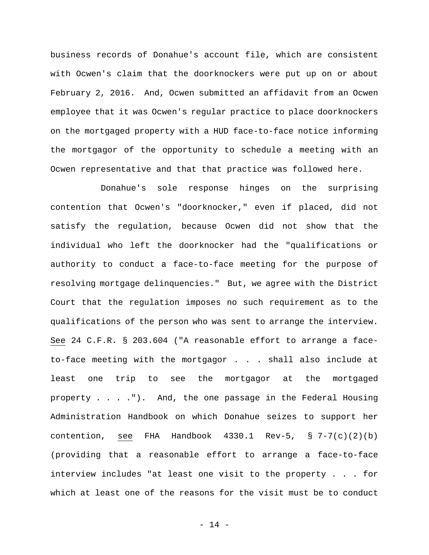business records of Donahue's account file, which are consistent with Ocwen's claim that the doorknockers were put up on or about February 2, 2016. And, Ocwen submitted an affidavit from an Ocwen employee that it was Ocwen's regular practice to place doorknockers on the mortgaged property with a HUD face-to-face notice informing the mortgagor of the opportunity to schedule a meeting with an Ocwen representative and that that practice was followed here.

 Donahue's sole response hinges on the surprising contention that Ocwen's "doorknocker," even if placed, did not satisfy the regulation, because Ocwen did not show that the individual who left the doorknocker had the "qualifications or authority to conduct a face-to-face meeting for the purpose of resolving mortgage delinquencies." But, we agree with the District Court that the regulation imposes no such requirement as to the qualifications of the person who was sent to arrange the interview. See 24 C.F.R. § 203.604 ("A reasonable effort to arrange a faceto-face meeting with the mortgagor . . . shall also include at least one trip to see the mortgagor at the mortgaged property . . . ."). And, the one passage in the Federal Housing Administration Handbook on which Donahue seizes to support her contention, see FHA Handbook  $4330.1$  Rev-5, § 7-7(c)(2)(b) (providing that a reasonable effort to arrange a face-to-face interview includes "at least one visit to the property . . . for which at least one of the reasons for the visit must be to conduct

- 14 -